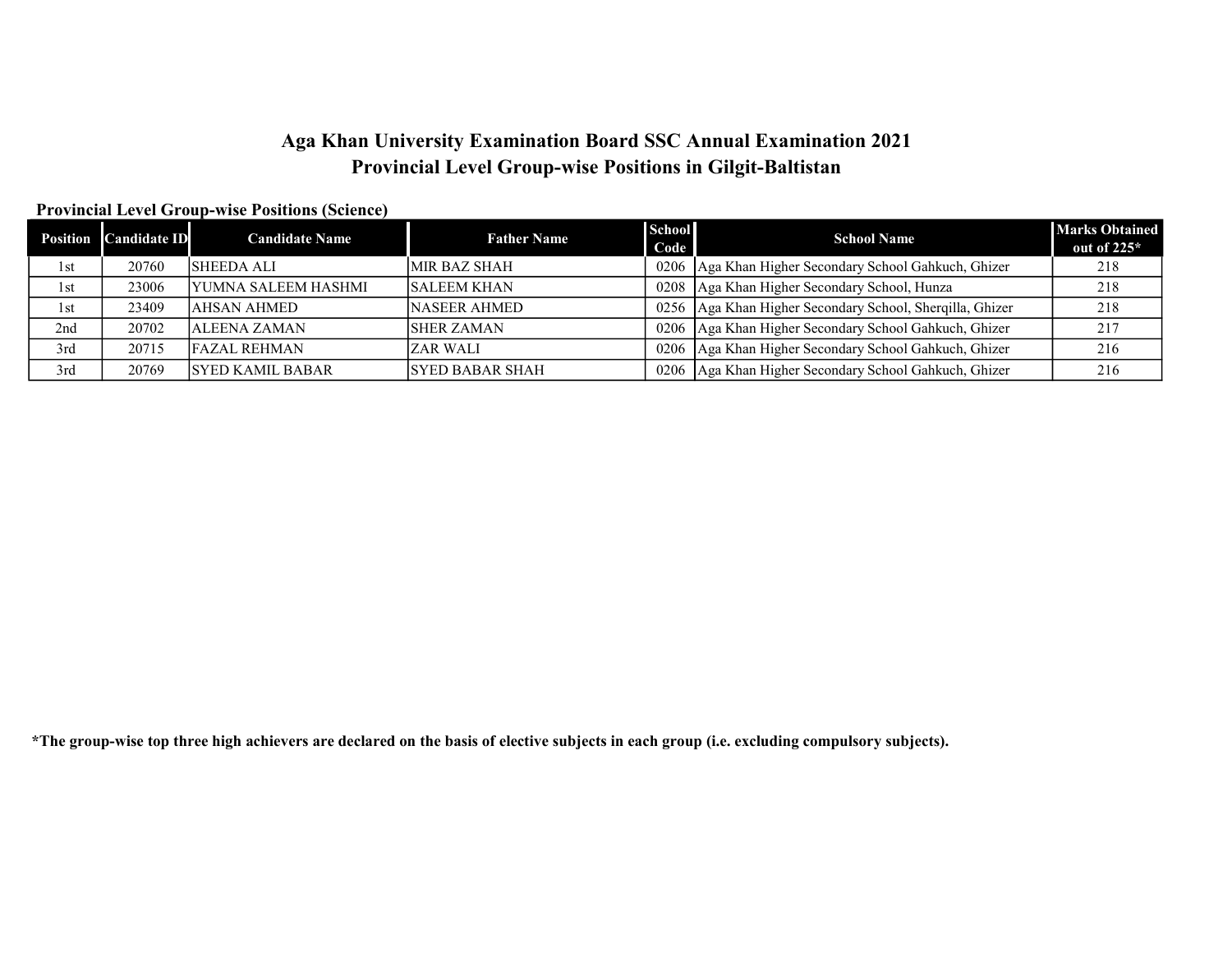# Aga Khan University Examination Board SSC Annual Examination 2021 Provincial Level Group-wise Positions in Gilgit-Baltistan

#### Provincial Level Group-wise Positions (Science)

| Position | Candidate ID | <b>Candidate Name</b>      | <b>Father Name</b>     | <b>School</b><br>Code | <b>School Name</b>                                      | <b>Marks Obtained</b><br>out of $225*$ |
|----------|--------------|----------------------------|------------------------|-----------------------|---------------------------------------------------------|----------------------------------------|
| 1st      | 20760        | <b>SHEEDA ALI</b>          | <b>MIR BAZ SHAH</b>    | 0206                  | Aga Khan Higher Secondary School Gahkuch, Ghizer        | 218                                    |
| 1st      | 23006        | <b>YUMNA SALEEM HASHMI</b> | <b>SALEEM KHAN</b>     | 0208                  | Aga Khan Higher Secondary School, Hunza                 | 218                                    |
| 1st      | 23409        | IAHSAN AHMED               | <b>NASEER AHMED</b>    | 0256                  | Aga Khan Higher Secondary School, Sherqilla, Ghizer     | 218                                    |
| 2nd      | 20702        | <b>ALEENA ZAMAN</b>        | <b>ISHER ZAMAN</b>     |                       | 0206 Aga Khan Higher Secondary School Gahkuch, Ghizer   | 217                                    |
| 3rd      | 20715        | <b>FAZAL REHMAN</b>        | <b>ZAR WALI</b>        |                       | 0206   Aga Khan Higher Secondary School Gahkuch, Ghizer | 216                                    |
| 3rd      | 20769        | <b>SYED KAMIL BABAR</b>    | <b>SYED BABAR SHAH</b> |                       | 0206   Aga Khan Higher Secondary School Gahkuch, Ghizer | 216                                    |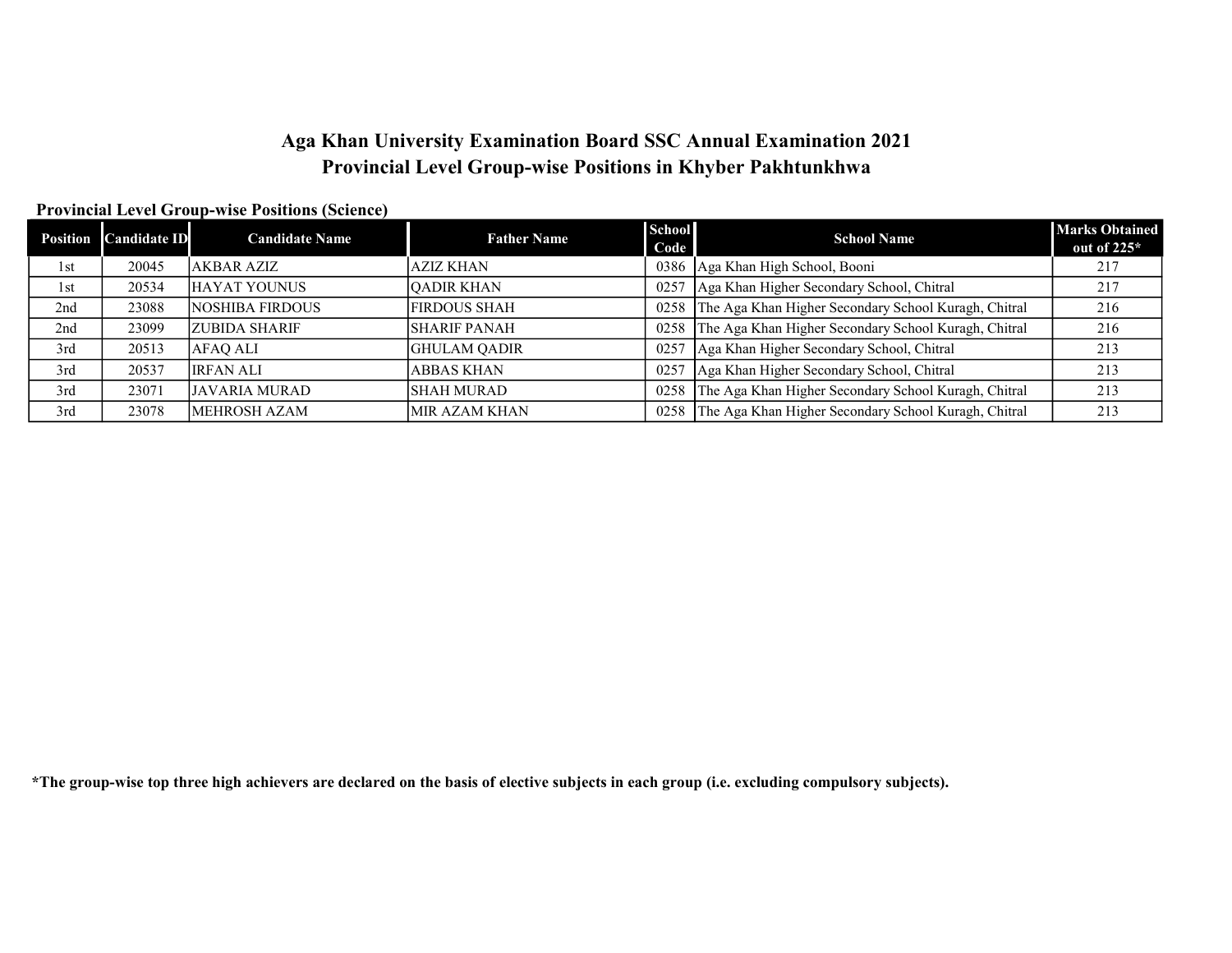### Aga Khan University Examination Board SSC Annual Examination 2021 Provincial Level Group-wise Positions in Khyber Pakhtunkhwa

out of 225\*

### Position Candidate ID Candidate Name Father Name School Code School School Name Marks Obtained<br>
School Name Marks Obtained<br>
out of 225\* 1st 20045 AKBAR AZIZ AZIZ KHAN 0386 Aga Khan High School, Booni 217 1st 20534 HAYAT YOUNUS QADIR KHAN 0257 Aga Khan Higher Secondary School, Chitral 217 2nd 23088 NOSHIBA FIRDOUS FIRDOUS SHAH 0258 The Aga Khan Higher Secondary School Kuragh, Chitral 216 2nd 23099 ZUBIDA SHARIF SECONDA SHARIF SECONDARY SCHOOL SHARIF PANAH 216 3rd 20513 AFAQ ALI GHULAM QADIR 9257 Aga Khan Higher Secondary School, Chitral 213 3rd 20537 IRFAN ALI ABBAS KHAN 0257 Aga Khan Higher Secondary School, Chitral 213 3rd 23071 JAVARIA MURAD SHAH MURAD SHAH MURAD 0258 The Aga Khan Higher Secondary School Kuragh, Chitral 213 3rd 23078 MEHROSH AZAM MIR AZAM KHAN 0258 The Aga Khan Higher Secondary School Kuragh, Chitral 213

#### Provincial Level Group-wise Positions (Science)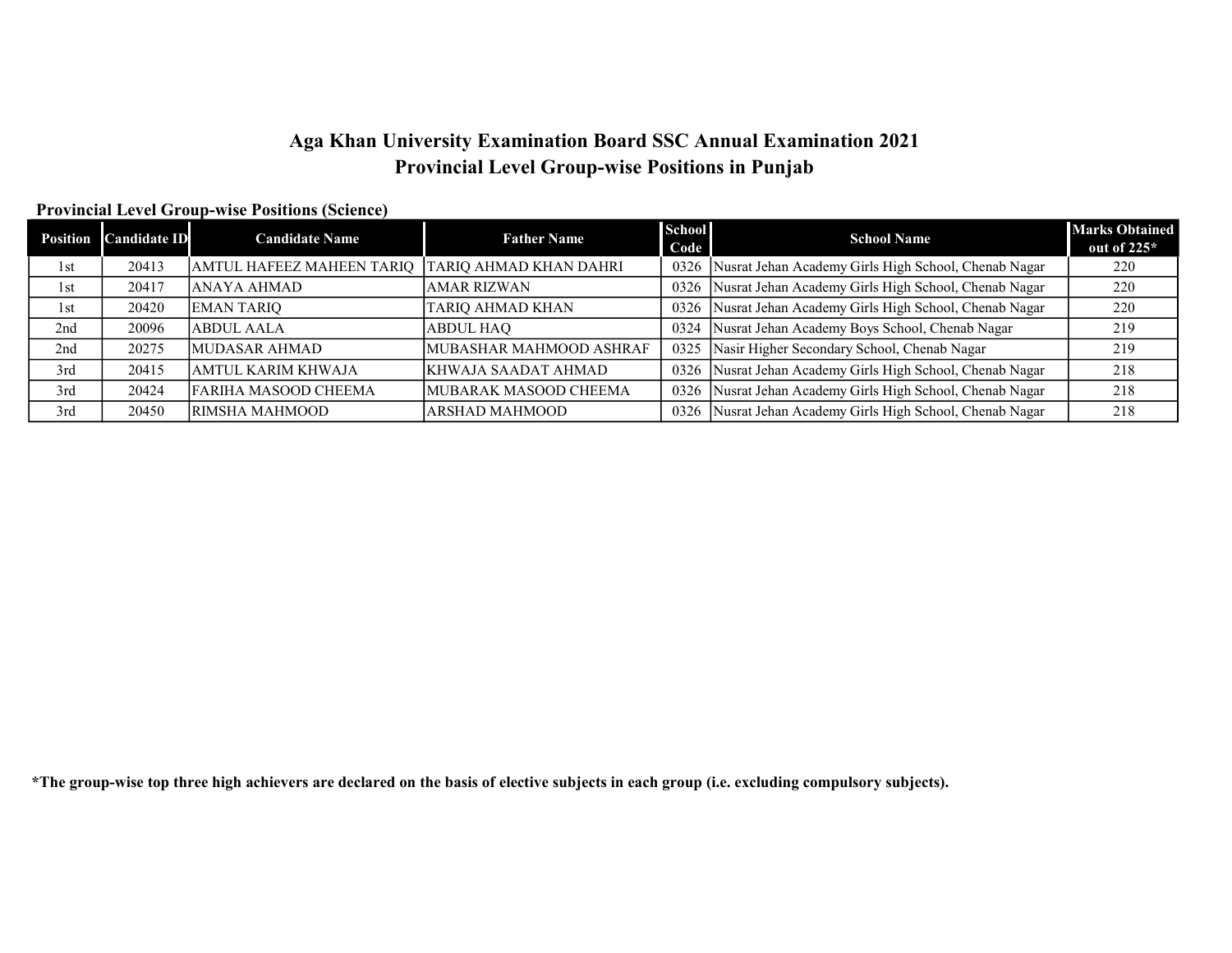# Aga Khan University Examination Board SSC Annual Examination 2021 Provincial Level Group-wise Positions in Punjab

#### Provincial Level Group-wise Positions (Science)

| <b>Position</b> | <b>Candidate ID</b> | <b>Candidate Name</b>            | <b>Father Name</b>            | <b>School</b><br>Code | <b>School Name</b>                                   | <b>Marks Obtained</b><br>out of $225*$ |
|-----------------|---------------------|----------------------------------|-------------------------------|-----------------------|------------------------------------------------------|----------------------------------------|
| 1st             | 20413               | <b>AMTUL HAFEEZ MAHEEN TARIQ</b> | <b>TARIQ AHMAD KHAN DAHRI</b> | 0326                  | Nusrat Jehan Academy Girls High School, Chenab Nagar | 220                                    |
| 1st             | 20417               | <b>ANAYA AHMAD</b>               | AMAR RIZWAN                   | 0326                  | Nusrat Jehan Academy Girls High School, Chenab Nagar | 220                                    |
| 1st             | 20420               | <b>EMAN TARIO</b>                | <b>TARIQ AHMAD KHAN</b>       | 0326                  | Nusrat Jehan Academy Girls High School, Chenab Nagar | 220                                    |
| 2nd             | 20096               | ABDUL AALA                       | ABDUL HAO                     | 0324                  | Nusrat Jehan Academy Boys School, Chenab Nagar       | 219                                    |
| 2nd             | 20275               | <b>MUDASAR AHMAD</b>             | MUBASHAR MAHMOOD ASHRAF       | 0325                  | Nasir Higher Secondary School, Chenab Nagar          | 219                                    |
| 3rd             | 20415               | AMTUL KARIM KHWAJA               | KHWAJA SAADAT AHMAD           | 0326                  | Nusrat Jehan Academy Girls High School, Chenab Nagar | 218                                    |
| 3rd             | 20424               | FARIHA MASOOD CHEEMA             | MUBARAK MASOOD CHEEMA         | 0326                  | Nusrat Jehan Academy Girls High School, Chenab Nagar | 218                                    |
| 3rd             | 20450               | RIMSHA MAHMOOD                   | ARSHAD MAHMOOD                | 0326                  | Nusrat Jehan Academy Girls High School, Chenab Nagar | 218                                    |